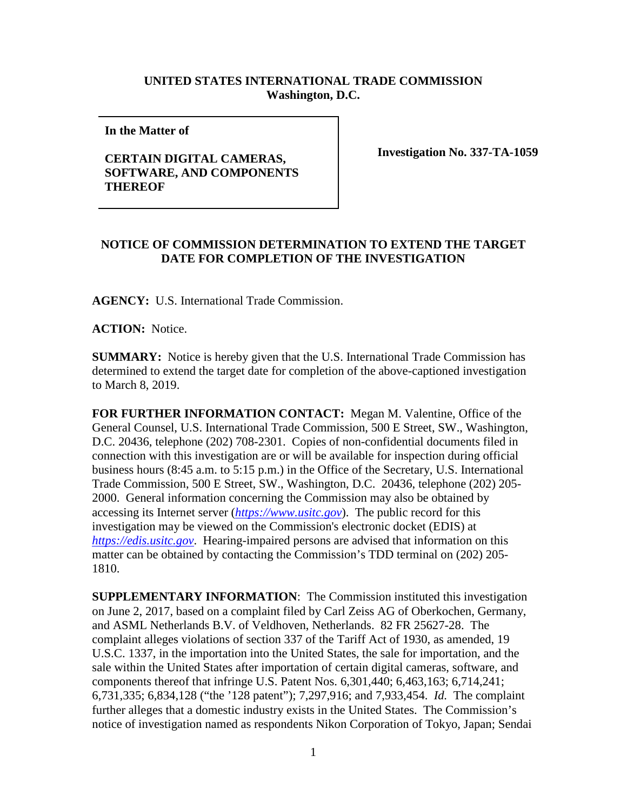## **UNITED STATES INTERNATIONAL TRADE COMMISSION Washington, D.C.**

**In the Matter of** 

## **CERTAIN DIGITAL CAMERAS, SOFTWARE, AND COMPONENTS THEREOF**

**Investigation No. 337-TA-1059**

## **NOTICE OF COMMISSION DETERMINATION TO EXTEND THE TARGET DATE FOR COMPLETION OF THE INVESTIGATION**

**AGENCY:** U.S. International Trade Commission.

**ACTION:** Notice.

**SUMMARY:** Notice is hereby given that the U.S. International Trade Commission has determined to extend the target date for completion of the above-captioned investigation to March 8, 2019.

**FOR FURTHER INFORMATION CONTACT:** Megan M. Valentine, Office of the General Counsel, U.S. International Trade Commission, 500 E Street, SW., Washington, D.C. 20436, telephone (202) 708-2301. Copies of non-confidential documents filed in connection with this investigation are or will be available for inspection during official business hours (8:45 a.m. to 5:15 p.m.) in the Office of the Secretary, U.S. International Trade Commission, 500 E Street, SW., Washington, D.C. 20436, telephone (202) 205- 2000. General information concerning the Commission may also be obtained by accessing its Internet server (*[https://www.usitc.gov](https://www.usitc.gov/)*). The public record for this investigation may be viewed on the Commission's electronic docket (EDIS) at *[https://edis.usitc.gov](https://edis.usitc.gov/)*. Hearing-impaired persons are advised that information on this matter can be obtained by contacting the Commission's TDD terminal on (202) 205- 1810.

**SUPPLEMENTARY INFORMATION**: The Commission instituted this investigation on June 2, 2017, based on a complaint filed by Carl Zeiss AG of Oberkochen, Germany, and ASML Netherlands B.V. of Veldhoven, Netherlands. 82 FR 25627-28. The complaint alleges violations of section 337 of the Tariff Act of 1930, as amended, 19 U.S.C. 1337, in the importation into the United States, the sale for importation, and the sale within the United States after importation of certain digital cameras, software, and components thereof that infringe U.S. Patent Nos. 6,301,440; 6,463,163; 6,714,241; 6,731,335; 6,834,128 ("the '128 patent"); 7,297,916; and 7,933,454. *Id.* The complaint further alleges that a domestic industry exists in the United States. The Commission's notice of investigation named as respondents Nikon Corporation of Tokyo, Japan; Sendai